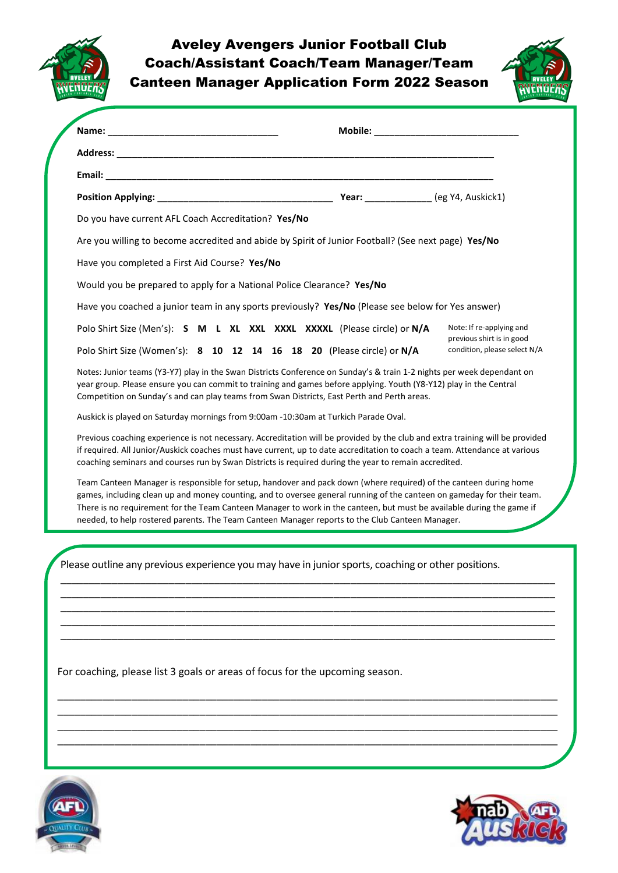

## Aveley Avengers Junior Football Club Coach/Assistant Coach/Team Manager/Team



| Do you have current AFL Coach Accreditation? Yes/No<br>Are you willing to become accredited and abide by Spirit of Junior Football? (See next page) Yes/No<br>Have you completed a First Aid Course? Yes/No<br>Would you be prepared to apply for a National Police Clearance? Yes/No<br>Have you coached a junior team in any sports previously? Yes/No (Please see below for Yes answer)<br>Polo Shirt Size (Men's): S M L XL XXL XXXL XXXXL (Please circle) or N/A<br>Polo Shirt Size (Women's): 8 10 12 14 16 18 20 (Please circle) or N/A<br>Notes: Junior teams (Y3-Y7) play in the Swan Districts Conference on Sunday's & train 1-2 nights per week dependant on<br>year group. Please ensure you can commit to training and games before applying. Youth (Y8-Y12) play in the Central<br>Competition on Sunday's and can play teams from Swan Districts, East Perth and Perth areas.<br>Auskick is played on Saturday mornings from 9:00am -10:30am at Turkich Parade Oval.<br>Previous coaching experience is not necessary. Accreditation will be provided by the club and extra training will be provided<br>if required. All Junior/Auskick coaches must have current, up to date accreditation to coach a team. Attendance at various<br>coaching seminars and courses run by Swan Districts is required during the year to remain accredited.<br>Team Canteen Manager is responsible for setup, handover and pack down (where required) of the canteen during home<br>games, including clean up and money counting, and to oversee general running of the canteen on gameday for their team.<br>There is no requirement for the Team Canteen Manager to work in the canteen, but must be available during the game if |                                                                                                 |                                                       |
|--------------------------------------------------------------------------------------------------------------------------------------------------------------------------------------------------------------------------------------------------------------------------------------------------------------------------------------------------------------------------------------------------------------------------------------------------------------------------------------------------------------------------------------------------------------------------------------------------------------------------------------------------------------------------------------------------------------------------------------------------------------------------------------------------------------------------------------------------------------------------------------------------------------------------------------------------------------------------------------------------------------------------------------------------------------------------------------------------------------------------------------------------------------------------------------------------------------------------------------------------------------------------------------------------------------------------------------------------------------------------------------------------------------------------------------------------------------------------------------------------------------------------------------------------------------------------------------------------------------------------------------------------------------------------------------------------------------------------------------|-------------------------------------------------------------------------------------------------|-------------------------------------------------------|
|                                                                                                                                                                                                                                                                                                                                                                                                                                                                                                                                                                                                                                                                                                                                                                                                                                                                                                                                                                                                                                                                                                                                                                                                                                                                                                                                                                                                                                                                                                                                                                                                                                                                                                                                      |                                                                                                 |                                                       |
|                                                                                                                                                                                                                                                                                                                                                                                                                                                                                                                                                                                                                                                                                                                                                                                                                                                                                                                                                                                                                                                                                                                                                                                                                                                                                                                                                                                                                                                                                                                                                                                                                                                                                                                                      |                                                                                                 |                                                       |
|                                                                                                                                                                                                                                                                                                                                                                                                                                                                                                                                                                                                                                                                                                                                                                                                                                                                                                                                                                                                                                                                                                                                                                                                                                                                                                                                                                                                                                                                                                                                                                                                                                                                                                                                      |                                                                                                 |                                                       |
|                                                                                                                                                                                                                                                                                                                                                                                                                                                                                                                                                                                                                                                                                                                                                                                                                                                                                                                                                                                                                                                                                                                                                                                                                                                                                                                                                                                                                                                                                                                                                                                                                                                                                                                                      |                                                                                                 |                                                       |
|                                                                                                                                                                                                                                                                                                                                                                                                                                                                                                                                                                                                                                                                                                                                                                                                                                                                                                                                                                                                                                                                                                                                                                                                                                                                                                                                                                                                                                                                                                                                                                                                                                                                                                                                      |                                                                                                 |                                                       |
|                                                                                                                                                                                                                                                                                                                                                                                                                                                                                                                                                                                                                                                                                                                                                                                                                                                                                                                                                                                                                                                                                                                                                                                                                                                                                                                                                                                                                                                                                                                                                                                                                                                                                                                                      |                                                                                                 |                                                       |
|                                                                                                                                                                                                                                                                                                                                                                                                                                                                                                                                                                                                                                                                                                                                                                                                                                                                                                                                                                                                                                                                                                                                                                                                                                                                                                                                                                                                                                                                                                                                                                                                                                                                                                                                      |                                                                                                 |                                                       |
|                                                                                                                                                                                                                                                                                                                                                                                                                                                                                                                                                                                                                                                                                                                                                                                                                                                                                                                                                                                                                                                                                                                                                                                                                                                                                                                                                                                                                                                                                                                                                                                                                                                                                                                                      |                                                                                                 |                                                       |
|                                                                                                                                                                                                                                                                                                                                                                                                                                                                                                                                                                                                                                                                                                                                                                                                                                                                                                                                                                                                                                                                                                                                                                                                                                                                                                                                                                                                                                                                                                                                                                                                                                                                                                                                      |                                                                                                 | Note: If re-applying and<br>previous shirt is in good |
|                                                                                                                                                                                                                                                                                                                                                                                                                                                                                                                                                                                                                                                                                                                                                                                                                                                                                                                                                                                                                                                                                                                                                                                                                                                                                                                                                                                                                                                                                                                                                                                                                                                                                                                                      |                                                                                                 | condition, please select N/A                          |
|                                                                                                                                                                                                                                                                                                                                                                                                                                                                                                                                                                                                                                                                                                                                                                                                                                                                                                                                                                                                                                                                                                                                                                                                                                                                                                                                                                                                                                                                                                                                                                                                                                                                                                                                      |                                                                                                 |                                                       |
|                                                                                                                                                                                                                                                                                                                                                                                                                                                                                                                                                                                                                                                                                                                                                                                                                                                                                                                                                                                                                                                                                                                                                                                                                                                                                                                                                                                                                                                                                                                                                                                                                                                                                                                                      |                                                                                                 |                                                       |
|                                                                                                                                                                                                                                                                                                                                                                                                                                                                                                                                                                                                                                                                                                                                                                                                                                                                                                                                                                                                                                                                                                                                                                                                                                                                                                                                                                                                                                                                                                                                                                                                                                                                                                                                      |                                                                                                 |                                                       |
|                                                                                                                                                                                                                                                                                                                                                                                                                                                                                                                                                                                                                                                                                                                                                                                                                                                                                                                                                                                                                                                                                                                                                                                                                                                                                                                                                                                                                                                                                                                                                                                                                                                                                                                                      | needed, to help rostered parents. The Team Canteen Manager reports to the Club Canteen Manager. |                                                       |
| Please outline any previous experience you may have in junior sports, coaching or other positions.                                                                                                                                                                                                                                                                                                                                                                                                                                                                                                                                                                                                                                                                                                                                                                                                                                                                                                                                                                                                                                                                                                                                                                                                                                                                                                                                                                                                                                                                                                                                                                                                                                   |                                                                                                 |                                                       |